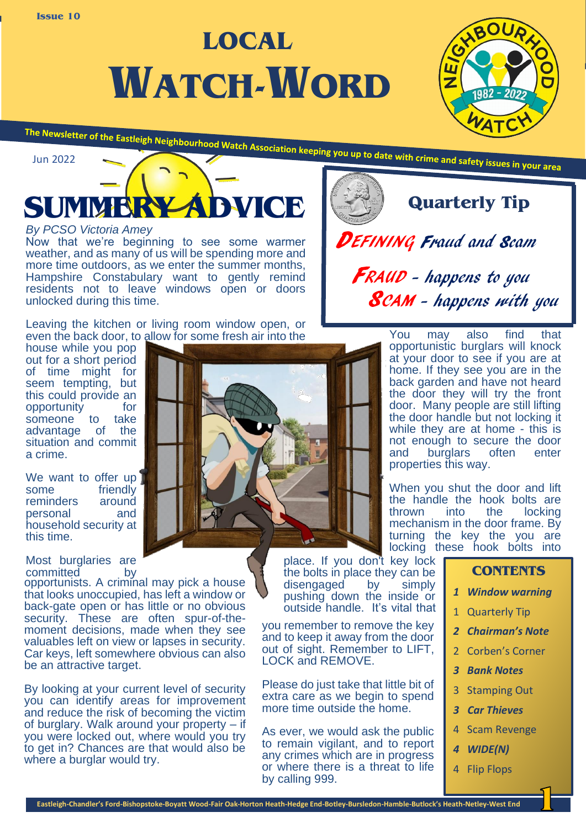**WATCH-WORD LOCAL**





### *By PCSO Victoria Amey*

Now that we're beginning to see some warmer weather, and as many of us will be spending more and more time outdoors, as we enter the summer months, Hampshire Constabulary want to gently remind residents not to leave windows open or doors unlocked during this time.

Leaving the kitchen or living room window open, or even the back door, to allow for some fresh air into the

house while you pop out for a short period of time might for seem tempting, but this could provide an opportunity for opportunity someone to take<br>advantage of the advantage situation and commit a crime.

We want to offer up some friendly<br>reminders around reminders personal and household security at this time.

Most burglaries are committed by

opportunists. A criminal may pick a house that looks unoccupied, has left a window or back-gate open or has little or no obvious security. These are often spur-of-themoment decisions, made when they see valuables left on view or lapses in security. Car keys, left somewhere obvious can also be an attractive target.

By looking at your current level of security you can identify areas for improvement and reduce the risk of becoming the victim of burglary. Walk around your property – if you were locked out, where would you try to get in? Chances are that would also be where a burglar would try.



place. If you don't key lock the bolts in place they can be disengaged by simply pushing down the inside or outside handle. It's vital that

you remember to remove the key and to keep it away from the door out of sight. Remember to LIFT, LOCK and REMOVE.

Please do just take that little bit of extra care as we begin to spend more time outside the home.

As ever, we would ask the public to remain vigilant, and to report any crimes which are in progress or where there is a threat to life by calling 999.

**Quarterly Tip**

DEFINING Fraud and Scam FRAUD - happens to you SCAM - happens with you

> You may also find that opportunistic burglars will knock at your door to see if you are at home. If they see you are in the back garden and have not heard the door they will try the front door. Many people are still lifting the door handle but not locking it while they are at home - this is not enough to secure the door and burglars often enter properties this way.

> When you shut the door and lift the handle the hook bolts are<br>thrown into the locking locking mechanism in the door frame. By turning the key the you are locking these hook bolts into

## **CONTENTS**

- *1 Window warning*
- 1 Quarterly Tip
- *2 Chairman's Note*
- 2 Corben's Corner
- *3 Bank Notes*
- 3 Stamping Out
- *3 Car Thieves*
- 4 Scam Revenge
- *4 WIDE(N)*
- 4 Flip Flops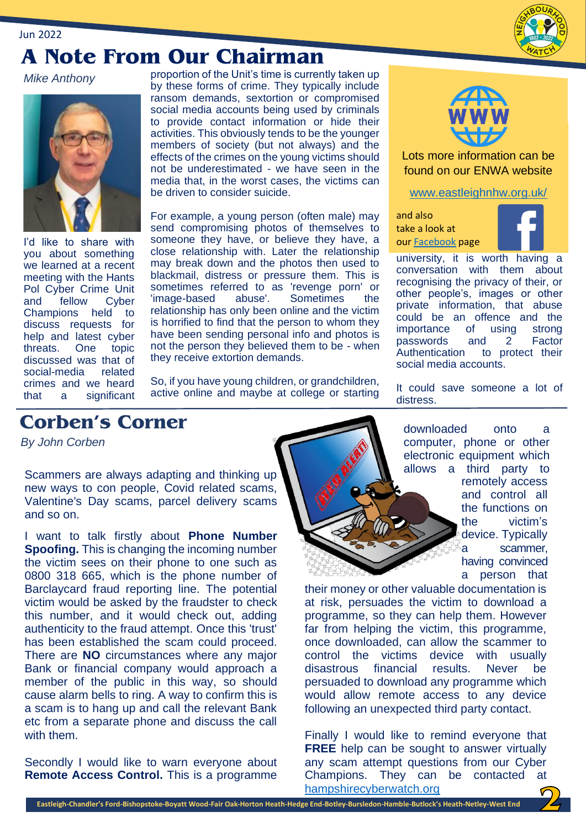# **A Note From Our Chairman**

*Mike Anthony*

Jun 2022



I'd like to share with you about something we learned at a recent meeting with the Hants Pol Cyber Crime Unit and fellow Cyber Champions held to discuss requests for help and latest cyber threats. One topic discussed was that of<br>social-media related social-media crimes and we heard that a significant proportion of the Unit's time is currently taken up by these forms of crime. They typically include ransom demands, sextortion or compromised social media accounts being used by criminals to provide contact information or hide their activities. This obviously tends to be the younger members of society (but not always) and the effects of the crimes on the young victims should not be underestimated - we have seen in the media that, in the worst cases, the victims can be driven to consider suicide.

For example, a young person (often male) may send compromising photos of themselves to someone they have, or believe they have, a close relationship with. Later the relationship may break down and the photos then used to blackmail, distress or pressure them. This is sometimes referred to as 'revenge porn' or 'image-based abuse'. Sometimes the relationship has only been online and the victim is horrified to find that the person to whom they have been sending personal info and photos is not the person they believed them to be - when they receive extortion demands.

So, if you have young children, or grandchildren, active online and maybe at college or starting



Lots more information can be found on our ENWA website

[www.eastleighnhw.org.uk/](http://www.eastleighnhw.org.uk/)

and also take a look at ou[r Facebook](https://www.facebook.com/Eastleigh-Neighbourhood-Watch-1320387824693082/) page



university, it is worth having a conversation with them about recognising the privacy of their, or other people's, images or other private information, that abuse could be an offence and the importance of using strong passwords and 2 Factor Authentication to protect their social media accounts.

It could save someone a lot of distress.

# **Corben's Corner**

 *By John Corben*

Scammers are always adapting and thinking up new ways to con people, Covid related scams, Valentine's Day scams, parcel delivery scams and so on.

I want to talk firstly about **Phone Number Spoofing.** This is changing the incoming number the victim sees on their phone to one such as 0800 318 665, which is the phone number of Barclaycard fraud reporting line. The potential victim would be asked by the fraudster to check this number, and it would check out, adding authenticity to the fraud attempt. Once this 'trust' has been established the scam could proceed. There are **NO** circumstances where any major Bank or financial company would approach a member of the public in this way, so should cause alarm bells to ring. A way to confirm this is a scam is to hang up and call the relevant Bank etc from a separate phone and discuss the call with them.

Secondly I would like to warn everyone about **Remote Access Control.** This is a programme



downloaded onto a computer, phone or other electronic equipment which allows a third party to

remotely access and control all the functions on the victim's device. Typically a scammer, having convinced a person that

their money or other valuable documentation is at risk, persuades the victim to download a programme, so they can help them. However far from helping the victim, this programme, once downloaded, can allow the scammer to control the victims device with usually disastrous financial results. Never be persuaded to download any programme which would allow remote access to any device following an unexpected third party contact.

Finally I would like to remind everyone that **FREE** help can be sought to answer virtually any scam attempt questions from our Cyber Champions. They can be contacted at [hampshirecyberwatch.org](http://www.hampshirecyberwatch.org/)

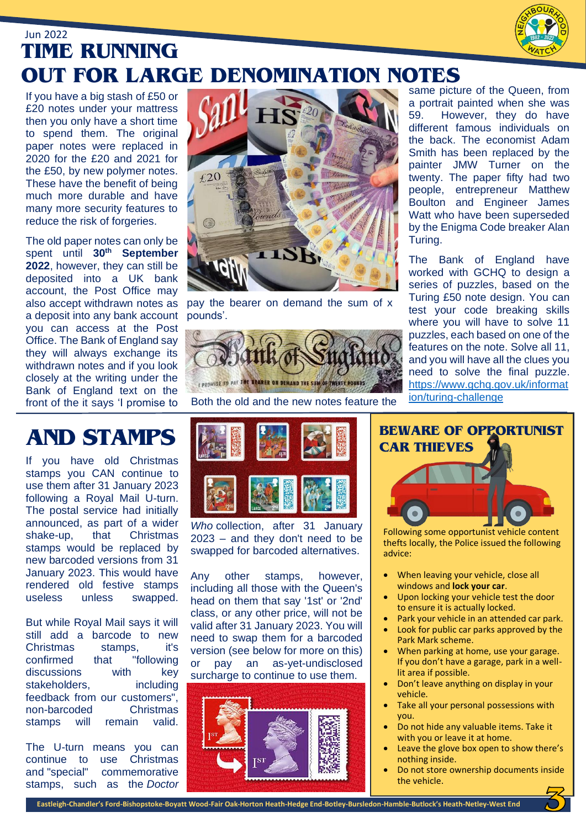

## Jun 2022 **TIME RUNNING OUT FOR LARGE DENOMINATION NOTES**

If you have a big stash of £50 or £20 notes under your mattress then you only have a short time to spend them. The original paper notes were replaced in 2020 for the £20 and 2021 for the £50, by new polymer notes. These have the benefit of being much more durable and have many more security features to reduce the risk of forgeries.

The old paper notes can only be spent until **30th September 2022**, however, they can still be deposited into a UK bank account, the Post Office may also accept withdrawn notes as a deposit into any bank account you can access at the Post Office. The Bank of England say they will always exchange its withdrawn notes and if you look closely at the writing under the Bank of England text on the front of the it says 'I promise to



pay the bearer on demand the sum of x pounds'.



Both the old and the new notes feature the

same picture of the Queen, from a portrait painted when she was<br>59. However, they do have However, they do have different famous individuals on the back. The economist Adam Smith has been replaced by the painter JMW Turner on the twenty. The paper fifty had two people, entrepreneur Matthew Boulton and Engineer James Watt who have been superseded by the Enigma Code breaker Alan Turing.

The Bank of England have worked with GCHQ to design a series of puzzles, based on the Turing £50 note design. You can test your code breaking skills where you will have to solve 11 puzzles, each based on one of the features on the note. Solve all 11, and you will have all the clues you need to solve the final puzzle. [https://www.gchq.gov.uk/informat](https://www.gchq.gov.uk/information/turing-challenge) [ion/turing-challenge](https://www.gchq.gov.uk/information/turing-challenge)

If you have old Christmas stamps you CAN continue to use them after 31 January 2023 following a Royal Mail U-turn. The postal service had initially announced, as part of a wider shake-up, that Christmas stamps would be replaced by new barcoded versions from 31 January 2023. This would have rendered old festive stamps useless unless swapped.

But while Royal Mail says it will still add a barcode to new Christmas stamps, it's confirmed that "following discussions with key stakeholders, including feedback from our customers", non-barcoded Christmas stamps will remain valid.

The U-turn means you can continue to use Christmas and "special" commemorative stamps, such as the *Doctor* 



*Who* collection, after 31 January 2023 – and they don't need to be swapped for barcoded alternatives.

Any other stamps, however, including all those with the Queen's head on them that say '1st' or '2nd' class, or any other price, will not be valid after 31 January 2023. You will need to swap them for a barcoded version (see below for more on this) or pay an as-yet-undisclosed surcharge to continue to use them.





Following some opportunist vehicle content thefts locally, the Police issued the following advice:

- When leaving your vehicle, close all windows and **lock your car**.
- Upon locking your vehicle test the door to ensure it is actually locked.
- Park your vehicle in an attended car park.
- Look for public car parks approved by the Park Mark scheme.
- When parking at home, use your garage. If you don't have a garage, park in a welllit area if possible.
- Don't leave anything on display in your vehicle.
- Take all your personal possessions with you.
- Do not hide any valuable items. Take it with you or leave it at home.
- Leave the glove box open to show there's nothing inside.
- Do not store ownership documents inside the vehicle.